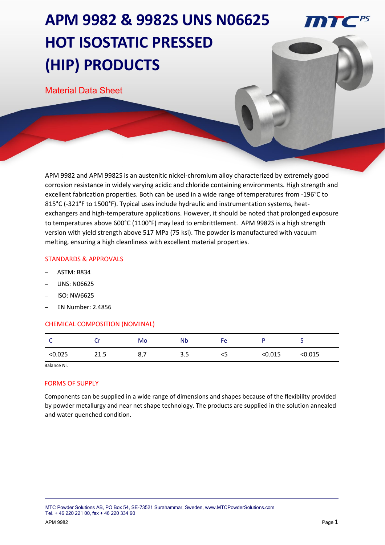# **APM 9982 & 9982S UNS N06625 HOT ISOSTATIC PRESSED (HIP) PRODUCTS**

Material Data Sheet

APM 9982 and APM 9982S is an austenitic nickel-chromium alloy characterized by extremely good corrosion resistance in widely varying acidic and chloride containing environments. High strength and excellent fabrication properties. Both can be used in a wide range of temperatures from -196°C to 815°C (-321°F to 1500°F). Typical uses include hydraulic and instrumentation systems, heatexchangers and high-temperature applications. However, it should be noted that prolonged exposure to temperatures above 600°C (1100°F) may lead to embrittlement. APM 9982S is a high strength version with yield strength above 517 MPa (75 ksi). The powder is manufactured with vacuum melting, ensuring a high cleanliness with excellent material properties.

### STANDARDS & APPROVALS

- ASTM: B834
- UNS: N06625
- ISO: NW6625
- EN Number: 2.4856

### CHEMICAL COMPOSITION (NOMINAL)

|         |      | Mo  | <b>N<sub>b</sub></b> | FΑ<br>Ë |         |        |
|---------|------|-----|----------------------|---------|---------|--------|
| < 0.025 | 21.5 | 8,7 | 3.5                  | <5      | < 0.015 | :0.015 |

Balance Ni.

### FORMS OF SUPPLY

Components can be supplied in a wide range of dimensions and shapes because of the flexibility provided by powder metallurgy and near net shape technology. The products are supplied in the solution annealed and water quenched condition.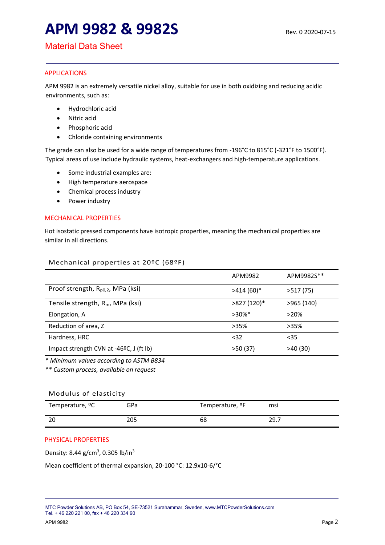# **APM 9982 & 9982S Rev. 0 2020-07-15**

### Material Data Sheet

### APPLICATIONS

APM 9982 is an extremely versatile nickel alloy, suitable for use in both oxidizing and reducing acidic environments, such as:

- Hydrochloric acid
- Nitric acid
- Phosphoric acid
- Chloride containing environments

The grade can also be used for a wide range of temperatures from -196°C to 815°C (-321°F to 1500°F). Typical areas of use include hydraulic systems, heat-exchangers and high-temperature applications.

- Some industrial examples are:
- High temperature aerospace
- Chemical process industry
- Power industry

### MECHANICAL PROPERTIES

Hot isostatic pressed components have isotropic properties, meaning the mechanical properties are similar in all directions.

### Mechanical properties at 20ºC (68ºF)

|                                               | APM9982      | APM9982S** |
|-----------------------------------------------|--------------|------------|
| Proof strength, R <sub>p0,2</sub> , MPa (ksi) | $>414(60)*$  | >517(75)   |
| Tensile strength, $R_m$ , MPa (ksi)           | $>827(120)*$ | >965(140)  |
| Elongation, A                                 | $>30\%$ *    | $>20\%$    |
| Reduction of area, Z                          | $>35\%$      | $>35\%$    |
| Hardness, HRC                                 | $32$         | $35$       |
| Impact strength CVN at -46°C, J (ft lb)       | >50(37)      | >40(30)    |

*\* Minimum values according to ASTM B834*

*\*\* Custom process, available on request*

### Modulus of elasticity

| Temperature, <sup>o</sup> C | GPa | Temperature, <sup>o</sup> F | msi   |
|-----------------------------|-----|-----------------------------|-------|
| 20                          | 205 | 68                          | -29., |

### PHYSICAL PROPERTIES

Density: 8.44 g/cm<sup>3</sup>, 0.305 lb/in<sup>3</sup>

Mean coefficient of thermal expansion, 20-100 °C: 12.9x10-6/°C

MTC Powder Solutions AB, PO Box 54, SE-73521 Surahammar, Sweden, www.MTCPowderSolutions.com Tel. + 46 220 221 00, fax + 46 220 334 90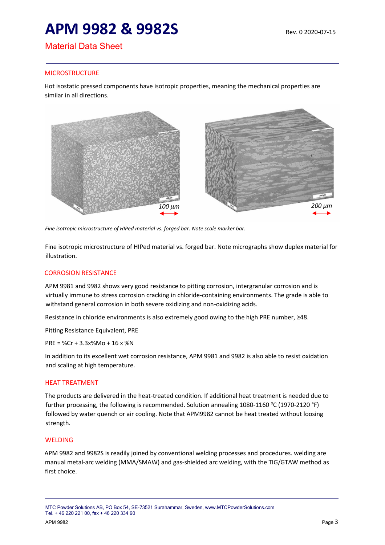# **APM 9982 & 9982S Rev. 0 2020-07-15**

## Material Data Sheet

### **MICROSTRUCTURE**

Hot isostatic pressed components have isotropic properties, meaning the mechanical properties are similar in all directions.



*Fine isotropic microstructure of HIPed material vs. forged bar. Note scale marker bar*.

Fine isotropic microstructure of HIPed material vs. forged bar. Note micrographs show duplex material for illustration.

### CORROSION RESISTANCE

APM 9981 and 9982 shows very good resistance to pitting corrosion, intergranular corrosion and is virtually immune to stress corrosion cracking in chloride-containing environments. The grade is able to withstand general corrosion in both severe oxidizing and non-oxidizing acids.

Resistance in chloride environments is also extremely good owing to the high PRE number, ≥48.

Pitting Resistance Equivalent, PRE

PRE = %Cr + 3.3x%Mo + 16 x %N

In addition to its excellent wet corrosion resistance, APM 9981 and 9982 is also able to resist oxidation and scaling at high temperature.

### HEAT TREATMENT

The products are delivered in the heat-treated condition. If additional heat treatment is needed due to further processing, the following is recommended. Solution annealing 1080-1160 °C (1970-2120 °F) followed by water quench or air cooling. Note that APM9982 cannot be heat treated without loosing strength.

### WELDING

APM 9982 and 9982S is readily joined by conventional welding processes and procedures. welding are manual metal-arc welding (MMA/SMAW) and gas-shielded arc welding, with the TIG/GTAW method as first choice.

MTC Powder Solutions AB, PO Box 54, SE-73521 Surahammar, Sweden, www.MTCPowderSolutions.com Tel. + 46 220 221 00, fax + 46 220 334 90